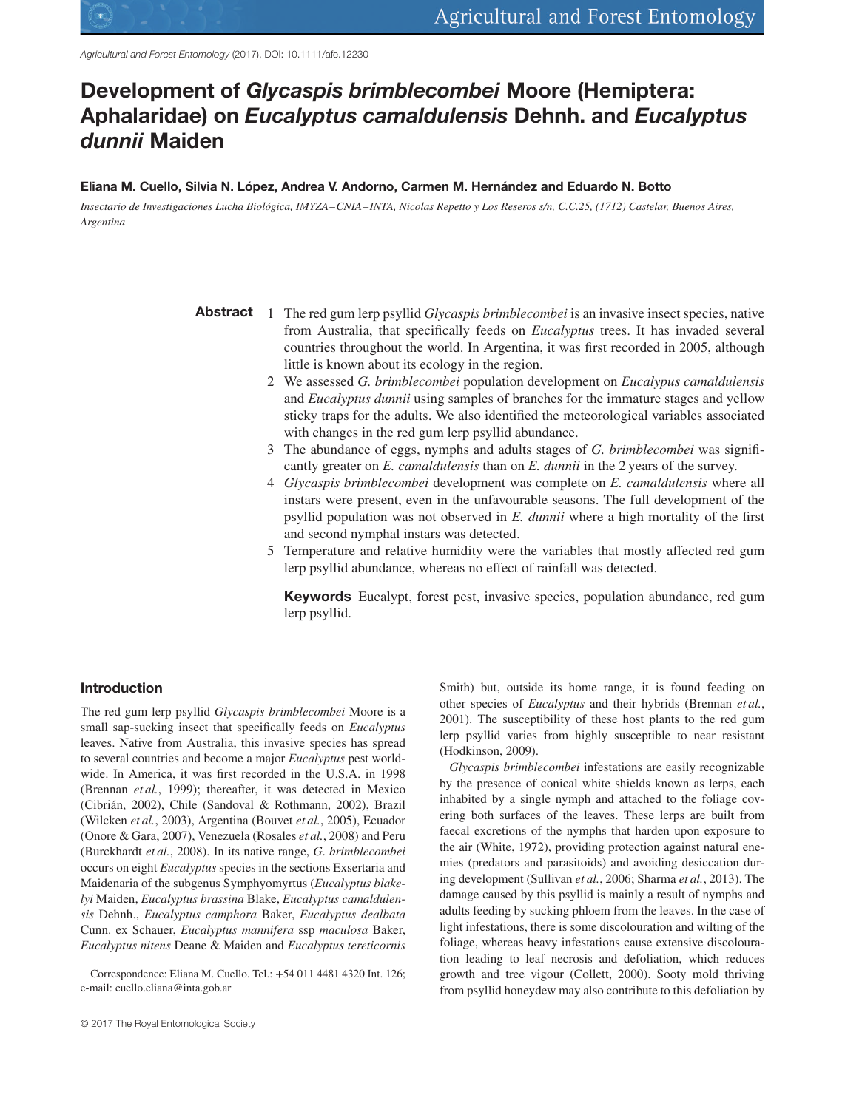Agricultural and Forest Entomology (2017), DOI: 10.1111/afe.12230

# **Development of** *Glycaspis brimblecombei* **Moore (Hemiptera: Aphalaridae) on** *Eucalyptus camaldulensis* **Dehnh. and** *Eucalyptus dunnii* **Maiden**

### **Eliana M. Cuello, Silvia N. López, Andrea V. Andorno, Carmen M. Hernández and Eduardo N. Botto**

*Insectario de Investigaciones Lucha Biológica, IMYZA–CNIA– INTA, Nicolas Repetto y Los Reseros s/n, C.C.25, (1712) Castelar, Buenos Aires, Argentina*

- **Abstract** 1 The red gum lerp psyllid *Glycaspis brimblecombei* is an invasive insect species, native from Australia, that specifically feeds on *Eucalyptus* trees. It has invaded several countries throughout the world. In Argentina, it was first recorded in 2005, although little is known about its ecology in the region.
	- 2 We assessed *G. brimblecombei* population development on *Eucalypus camaldulensis* and *Eucalyptus dunnii* using samples of branches for the immature stages and yellow sticky traps for the adults. We also identified the meteorological variables associated with changes in the red gum lerp psyllid abundance.
	- 3 The abundance of eggs, nymphs and adults stages of *G. brimblecombei* was significantly greater on *E. camaldulensis* than on *E. dunnii* in the 2 years of the survey.
	- 4 *Glycaspis brimblecombei* development was complete on *E. camaldulensis* where all instars were present, even in the unfavourable seasons. The full development of the psyllid population was not observed in *E. dunnii* where a high mortality of the first and second nymphal instars was detected.
	- 5 Temperature and relative humidity were the variables that mostly affected red gum lerp psyllid abundance, whereas no effect of rainfall was detected.

**Keywords** Eucalypt, forest pest, invasive species, population abundance, red gum lerp psyllid.

## **Introduction**

The red gum lerp psyllid *Glycaspis brimblecombei* Moore is a small sap-sucking insect that specifically feeds on *Eucalyptus* leaves. Native from Australia, this invasive species has spread to several countries and become a major *Eucalyptus* pest worldwide. In America, it was first recorded in the U.S.A. in 1998 (Brennan *et al.*, 1999); thereafter, it was detected in Mexico (Cibrián, 2002), Chile (Sandoval & Rothmann, 2002), Brazil (Wilcken *et al.*, 2003), Argentina (Bouvet *et al.*, 2005), Ecuador (Onore & Gara, 2007), Venezuela (Rosales *et al.*, 2008) and Peru (Burckhardt *et al.*, 2008). In its native range, *G*. *brimblecombei* occurs on eight *Eucalyptus* species in the sections Exsertaria and Maidenaria of the subgenus Symphyomyrtus (*Eucalyptus blakelyi* Maiden, *Eucalyptus brassina* Blake, *Eucalyptus camaldulensis* Dehnh., *Eucalyptus camphora* Baker, *Eucalyptus dealbata* Cunn. ex Schauer, *Eucalyptus mannifera* ssp *maculosa* Baker, *Eucalyptus nitens* Deane & Maiden and *Eucalyptus tereticornis*

Correspondence: Eliana M. Cuello. Tel.: +54 011 4481 4320 Int. 126; e-mail: cuello.eliana@inta.gob.ar

Smith) but, outside its home range, it is found feeding on other species of *Eucalyptus* and their hybrids (Brennan *et al.*, 2001). The susceptibility of these host plants to the red gum lerp psyllid varies from highly susceptible to near resistant (Hodkinson, 2009).

*Glycaspis brimblecombei* infestations are easily recognizable by the presence of conical white shields known as lerps, each inhabited by a single nymph and attached to the foliage covering both surfaces of the leaves. These lerps are built from faecal excretions of the nymphs that harden upon exposure to the air (White, 1972), providing protection against natural enemies (predators and parasitoids) and avoiding desiccation during development (Sullivan *et al.*, 2006; Sharma *et al.*, 2013). The damage caused by this psyllid is mainly a result of nymphs and adults feeding by sucking phloem from the leaves. In the case of light infestations, there is some discolouration and wilting of the foliage, whereas heavy infestations cause extensive discolouration leading to leaf necrosis and defoliation, which reduces growth and tree vigour (Collett, 2000). Sooty mold thriving from psyllid honeydew may also contribute to this defoliation by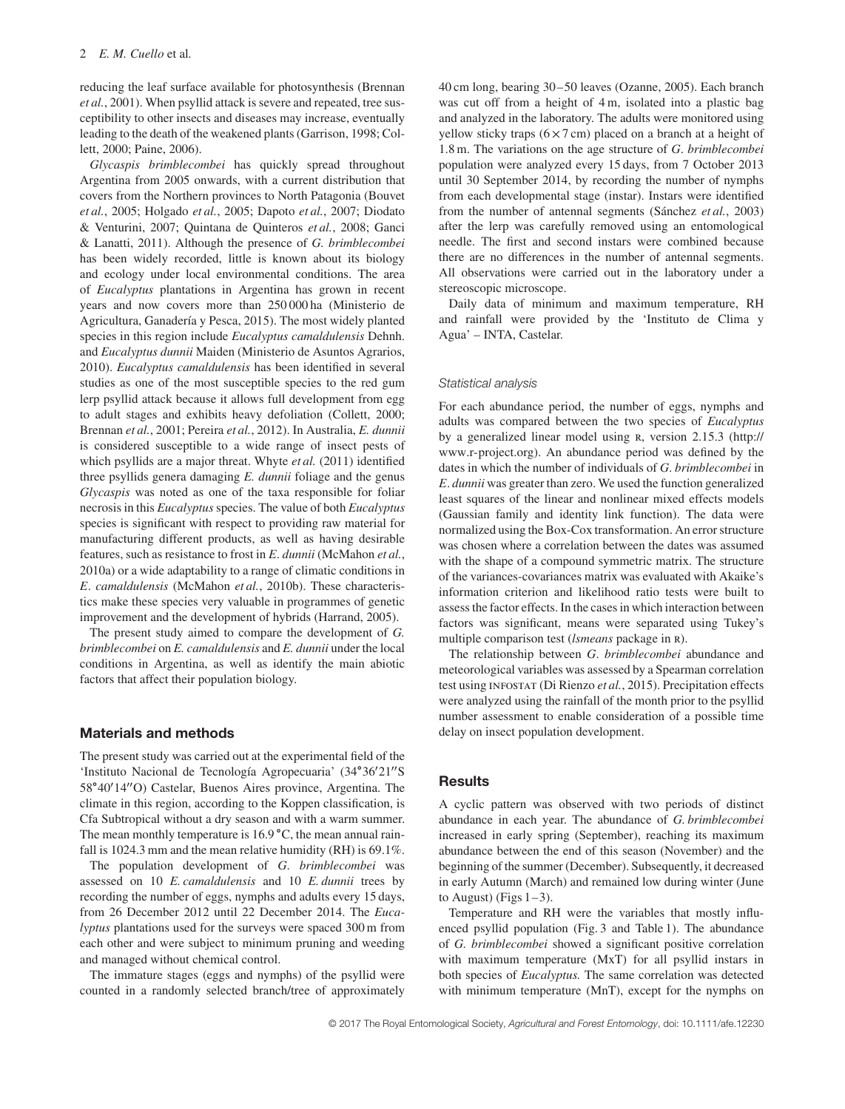reducing the leaf surface available for photosynthesis (Brennan *et al.*, 2001). When psyllid attack is severe and repeated, tree susceptibility to other insects and diseases may increase, eventually leading to the death of the weakened plants (Garrison, 1998; Collett, 2000; Paine, 2006).

*Glycaspis brimblecombei* has quickly spread throughout Argentina from 2005 onwards, with a current distribution that covers from the Northern provinces to North Patagonia (Bouvet *et al.*, 2005; Holgado *et al.*, 2005; Dapoto *et al.*, 2007; Diodato & Venturini, 2007; Quintana de Quinteros *et al.*, 2008; Ganci & Lanatti, 2011). Although the presence of *G. brimblecombei* has been widely recorded, little is known about its biology and ecology under local environmental conditions. The area of *Eucalyptus* plantations in Argentina has grown in recent years and now covers more than 250 000 ha (Ministerio de Agricultura, Ganadería y Pesca, 2015). The most widely planted species in this region include *Eucalyptus camaldulensis* Dehnh. and *Eucalyptus dunnii* Maiden (Ministerio de Asuntos Agrarios, 2010). *Eucalyptus camaldulensis* has been identified in several studies as one of the most susceptible species to the red gum lerp psyllid attack because it allows full development from egg to adult stages and exhibits heavy defoliation (Collett, 2000; Brennan *et al.*, 2001; Pereira *et al.*, 2012). In Australia, *E. dunnii* is considered susceptible to a wide range of insect pests of which psyllids are a major threat. Whyte *et al.* (2011) identified three psyllids genera damaging *E. dunnii* foliage and the genus *Glycaspis* was noted as one of the taxa responsible for foliar necrosis in this *Eucalyptus*species. The value of both *Eucalyptus* species is significant with respect to providing raw material for manufacturing different products, as well as having desirable features, such as resistance to frost in *E*. *dunnii* (McMahon *et al.*, 2010a) or a wide adaptability to a range of climatic conditions in *E*. *camaldulensis* (McMahon *et al.*, 2010b). These characteristics make these species very valuable in programmes of genetic improvement and the development of hybrids (Harrand, 2005).

The present study aimed to compare the development of *G. brimblecombei* on *E. camaldulensis* and *E. dunnii* under the local conditions in Argentina, as well as identify the main abiotic factors that affect their population biology.

## **Materials and methods**

The present study was carried out at the experimental field of the 'Instituto Nacional de Tecnología Agropecuaria' (34∘36′ 21′′S 58∘40′ 14′′O) Castelar, Buenos Aires province, Argentina. The climate in this region, according to the Koppen classification, is Cfa Subtropical without a dry season and with a warm summer. The mean monthly temperature is 16.9 ∘C, the mean annual rainfall is 1024.3 mm and the mean relative humidity (RH) is 69.1%.

The population development of *G*. *brimblecombei* was assessed on 10 *E. camaldulensis* and 10 *E. dunnii* trees by recording the number of eggs, nymphs and adults every 15 days, from 26 December 2012 until 22 December 2014. The *Eucalyptus* plantations used for the surveys were spaced 300 m from each other and were subject to minimum pruning and weeding and managed without chemical control.

The immature stages (eggs and nymphs) of the psyllid were counted in a randomly selected branch/tree of approximately

40 cm long, bearing 30–50 leaves (Ozanne, 2005). Each branch was cut off from a height of 4 m, isolated into a plastic bag and analyzed in the laboratory. The adults were monitored using yellow sticky traps  $(6 \times 7 \text{ cm})$  placed on a branch at a height of 1.8 m. The variations on the age structure of *G*. *brimblecombei* population were analyzed every 15 days, from 7 October 2013 until 30 September 2014, by recording the number of nymphs from each developmental stage (instar). Instars were identified from the number of antennal segments (Sánchez *et al.*, 2003) after the lerp was carefully removed using an entomological needle. The first and second instars were combined because there are no differences in the number of antennal segments. All observations were carried out in the laboratory under a stereoscopic microscope.

Daily data of minimum and maximum temperature, RH and rainfall were provided by the 'Instituto de Clima y Agua' – INTA, Castelar.

#### Statistical analysis

For each abundance period, the number of eggs, nymphs and adults was compared between the two species of *Eucalyptus* by a generalized linear model using R, version 2.15.3 [\(http://](http://www.r-project.org) [www.r-project.org\)](http://www.r-project.org). An abundance period was defined by the dates in which the number of individuals of *G*. *brimblecombei* in *E*. *dunnii* was greater than zero. We used the function generalized least squares of the linear and nonlinear mixed effects models (Gaussian family and identity link function). The data were normalized using the Box-Cox transformation. An error structure was chosen where a correlation between the dates was assumed with the shape of a compound symmetric matrix. The structure of the variances-covariances matrix was evaluated with Akaike's information criterion and likelihood ratio tests were built to assess the factor effects. In the cases in which interaction between factors was significant, means were separated using Tukey's multiple comparison test (*lsmeans* package in r).

The relationship between *G*. *brimblecombei* abundance and meteorological variables was assessed by a Spearman correlation test using infostat (Di Rienzo *et al.*, 2015). Precipitation effects were analyzed using the rainfall of the month prior to the psyllid number assessment to enable consideration of a possible time delay on insect population development.

## **Results**

A cyclic pattern was observed with two periods of distinct abundance in each year. The abundance of *G. brimblecombei* increased in early spring (September), reaching its maximum abundance between the end of this season (November) and the beginning of the summer (December). Subsequently, it decreased in early Autumn (March) and remained low during winter (June to August) (Figs  $1-3$ ).

Temperature and RH were the variables that mostly influenced psyllid population (Fig. 3 and Table 1). The abundance of *G. brimblecombei* showed a significant positive correlation with maximum temperature (MxT) for all psyllid instars in both species of *Eucalyptus.* The same correlation was detected with minimum temperature (MnT), except for the nymphs on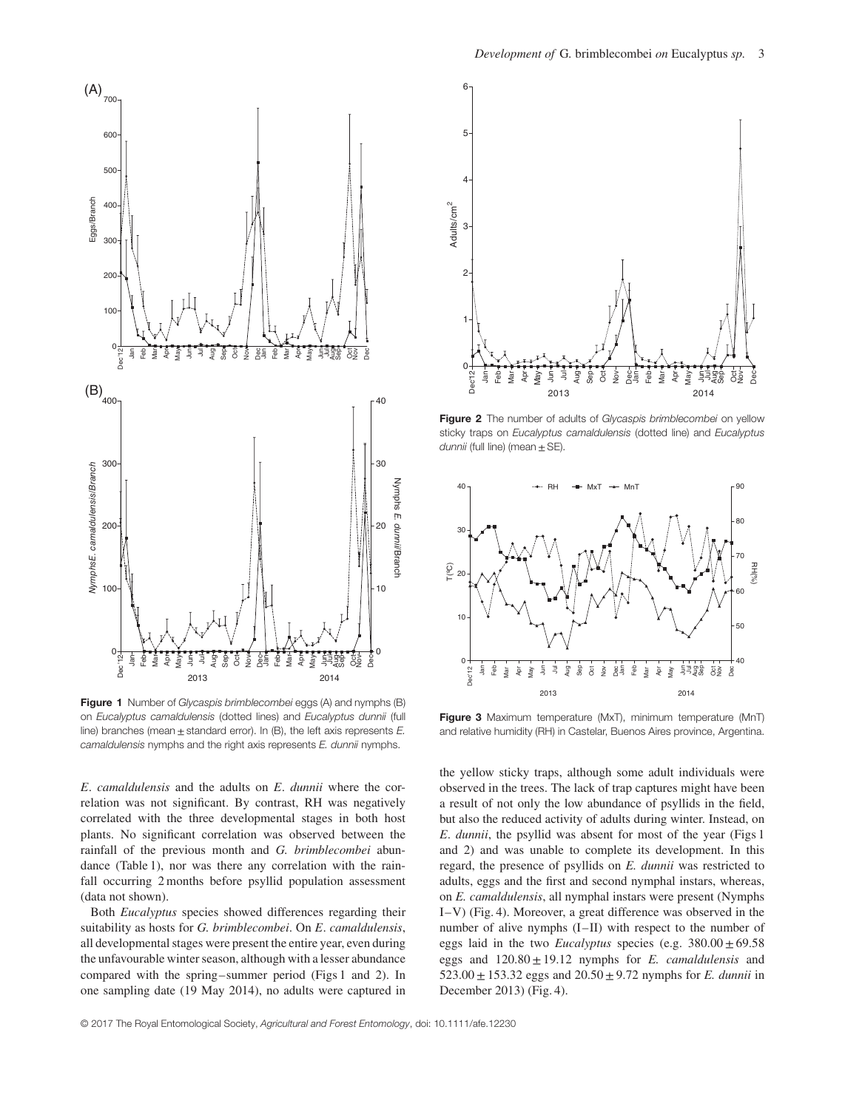

**Figure 1** Number of Glycaspis brimblecombei eggs (A) and nymphs (B) on Eucalyptus camaldulensis (dotted lines) and Eucalyptus dunnii (full line) branches (mean  $\pm$  standard error). In (B), the left axis represents E. camaldulensis nymphs and the right axis represents E. dunnii nymphs.

*E*. *camaldulensis* and the adults on *E*. *dunnii* where the correlation was not significant. By contrast, RH was negatively correlated with the three developmental stages in both host plants. No significant correlation was observed between the rainfall of the previous month and *G. brimblecombei* abundance (Table 1), nor was there any correlation with the rainfall occurring 2 months before psyllid population assessment (data not shown).

Both *Eucalyptus* species showed differences regarding their suitability as hosts for *G. brimblecombei*. On *E*. *camaldulensis*, all developmental stages were present the entire year, even during the unfavourable winter season, although with a lesser abundance compared with the spring–summer period (Figs 1 and 2). In one sampling date (19 May 2014), no adults were captured in



Figure 2 The number of adults of Glycaspis brimblecombei on yellow sticky traps on Eucalyptus camaldulensis (dotted line) and Eucalyptus dunnii (full line) (mean  $\pm$  SE).



**Figure 3** Maximum temperature (MxT), minimum temperature (MnT) and relative humidity (RH) in Castelar, Buenos Aires province, Argentina.

the yellow sticky traps, although some adult individuals were observed in the trees. The lack of trap captures might have been a result of not only the low abundance of psyllids in the field, but also the reduced activity of adults during winter. Instead, on *E*. *dunnii*, the psyllid was absent for most of the year (Figs 1 and 2) and was unable to complete its development. In this regard, the presence of psyllids on *E. dunnii* was restricted to adults, eggs and the first and second nymphal instars, whereas, on *E. camaldulensis*, all nymphal instars were present (Nymphs I–V) (Fig. 4). Moreover, a great difference was observed in the number of alive nymphs  $(I-II)$  with respect to the number of eggs laid in the two *Eucalyptus* species (e.g.  $380.00 \pm 69.58$ eggs and  $120.80 \pm 19.12$  nymphs for *E. camaldulensis* and 523.00  $\pm$  153.32 eggs and 20.50  $\pm$  9.72 nymphs for *E. dunnii* in December 2013) (Fig. 4).

© 2017 The Royal Entomological Society, Agricultural and Forest Entomology, doi: 10.1111/afe.12230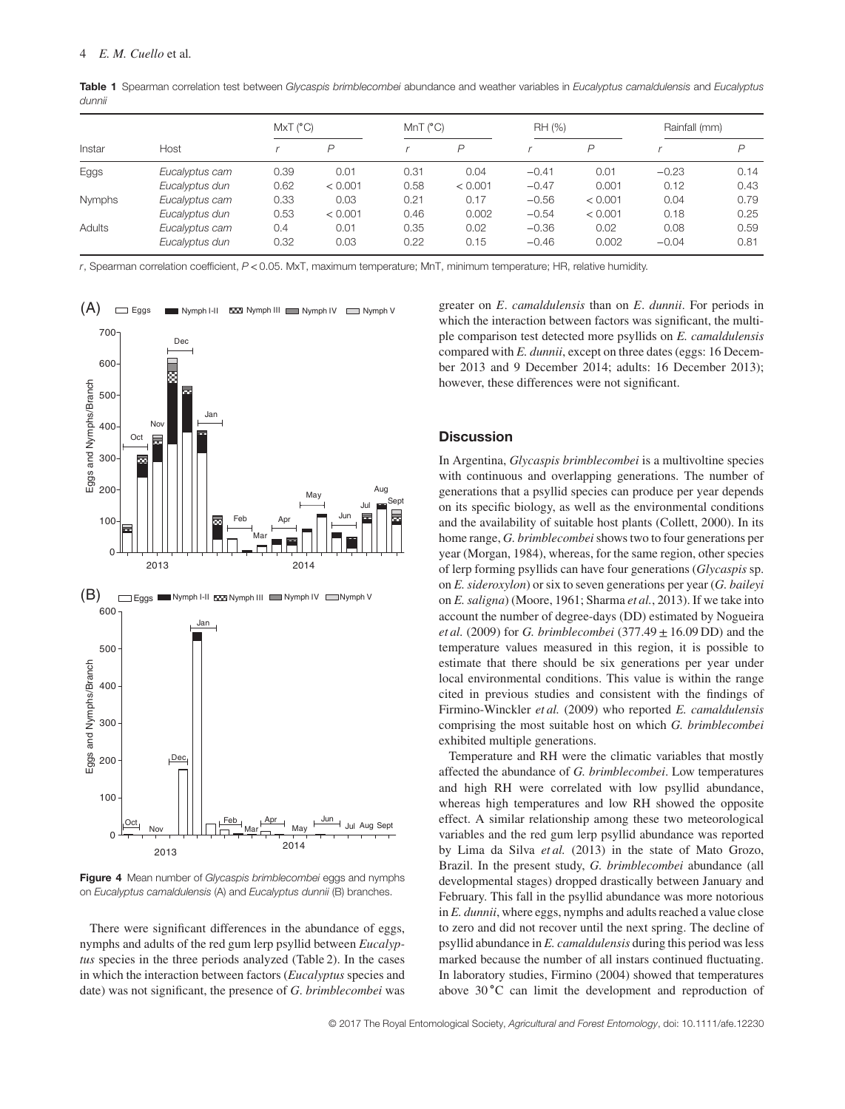| Instar | Host           | MxT (°C) |         | MnT (°C) |         | RH (%)  |         | Rainfall (mm) |                |
|--------|----------------|----------|---------|----------|---------|---------|---------|---------------|----------------|
|        |                |          | D       |          | P       |         | P       |               | $\overline{D}$ |
| Eggs   | Eucalyptus cam | 0.39     | 0.01    | 0.31     | 0.04    | $-0.41$ | 0.01    | $-0.23$       | 0.14           |
|        | Eucalyptus dun | 0.62     | < 0.001 | 0.58     | < 0.001 | $-0.47$ | 0.001   | 0.12          | 0.43           |
| Nymphs | Eucalyptus cam | 0.33     | 0.03    | 0.21     | 0.17    | $-0.56$ | < 0.001 | 0.04          | 0.79           |
|        | Eucalyptus dun | 0.53     | < 0.001 | 0.46     | 0.002   | $-0.54$ | < 0.001 | 0.18          | 0.25           |
| Adults | Eucalyptus cam | 0.4      | 0.01    | 0.35     | 0.02    | $-0.36$ | 0.02    | 0.08          | 0.59           |
|        | Eucalyptus dun | 0.32     | 0.03    | 0.22     | 0.15    | $-0.46$ | 0.002   | $-0.04$       | 0.81           |

Table 1 Spearman correlation test between Glycaspis brimblecombei abundance and weather variables in Eucalyptus camaldulensis and Eucalyptus dunnii

r, Spearman correlation coefficient, P *<*0.05. MxT, maximum temperature; MnT, minimum temperature; HR, relative humidity.



**Figure 4** Mean number of Glycaspis brimblecombei eggs and nymphs on Eucalyptus camaldulensis (A) and Eucalyptus dunnii (B) branches.

There were significant differences in the abundance of eggs, nymphs and adults of the red gum lerp psyllid between *Eucalyptus* species in the three periods analyzed (Table 2). In the cases in which the interaction between factors (*Eucalyptus* species and date) was not significant, the presence of *G*. *brimblecombei* was

greater on *E*. *camaldulensis* than on *E*. *dunnii*. For periods in which the interaction between factors was significant, the multiple comparison test detected more psyllids on *E. camaldulensis* compared with *E. dunnii*, except on three dates (eggs: 16 December 2013 and 9 December 2014; adults: 16 December 2013); however, these differences were not significant.

## **Discussion**

In Argentina, *Glycaspis brimblecombei* is a multivoltine species with continuous and overlapping generations. The number of generations that a psyllid species can produce per year depends on its specific biology, as well as the environmental conditions and the availability of suitable host plants (Collett, 2000). In its home range, *G. brimblecombei*shows two to four generations per year (Morgan, 1984), whereas, for the same region, other species of lerp forming psyllids can have four generations (*Glycaspis* sp. on *E. sideroxylon*) or six to seven generations per year (*G. baileyi* on *E. saligna*) (Moore, 1961; Sharma *et al.*, 2013). If we take into account the number of degree-days (DD) estimated by Nogueira *et al.* (2009) for *G. brimblecombei* (377.49±16.09 DD) and the temperature values measured in this region, it is possible to estimate that there should be six generations per year under local environmental conditions. This value is within the range cited in previous studies and consistent with the findings of Firmino-Winckler *et al.* (2009) who reported *E. camaldulensis* comprising the most suitable host on which *G. brimblecombei* exhibited multiple generations.

Temperature and RH were the climatic variables that mostly affected the abundance of *G. brimblecombei*. Low temperatures and high RH were correlated with low psyllid abundance, whereas high temperatures and low RH showed the opposite effect. A similar relationship among these two meteorological variables and the red gum lerp psyllid abundance was reported by Lima da Silva *et al.* (2013) in the state of Mato Grozo, Brazil. In the present study, *G. brimblecombei* abundance (all developmental stages) dropped drastically between January and February. This fall in the psyllid abundance was more notorious in *E. dunnii*, where eggs, nymphs and adults reached a value close to zero and did not recover until the next spring. The decline of psyllid abundance in *E. camaldulensis* during this period was less marked because the number of all instars continued fluctuating. In laboratory studies, Firmino (2004) showed that temperatures above 30 ∘C can limit the development and reproduction of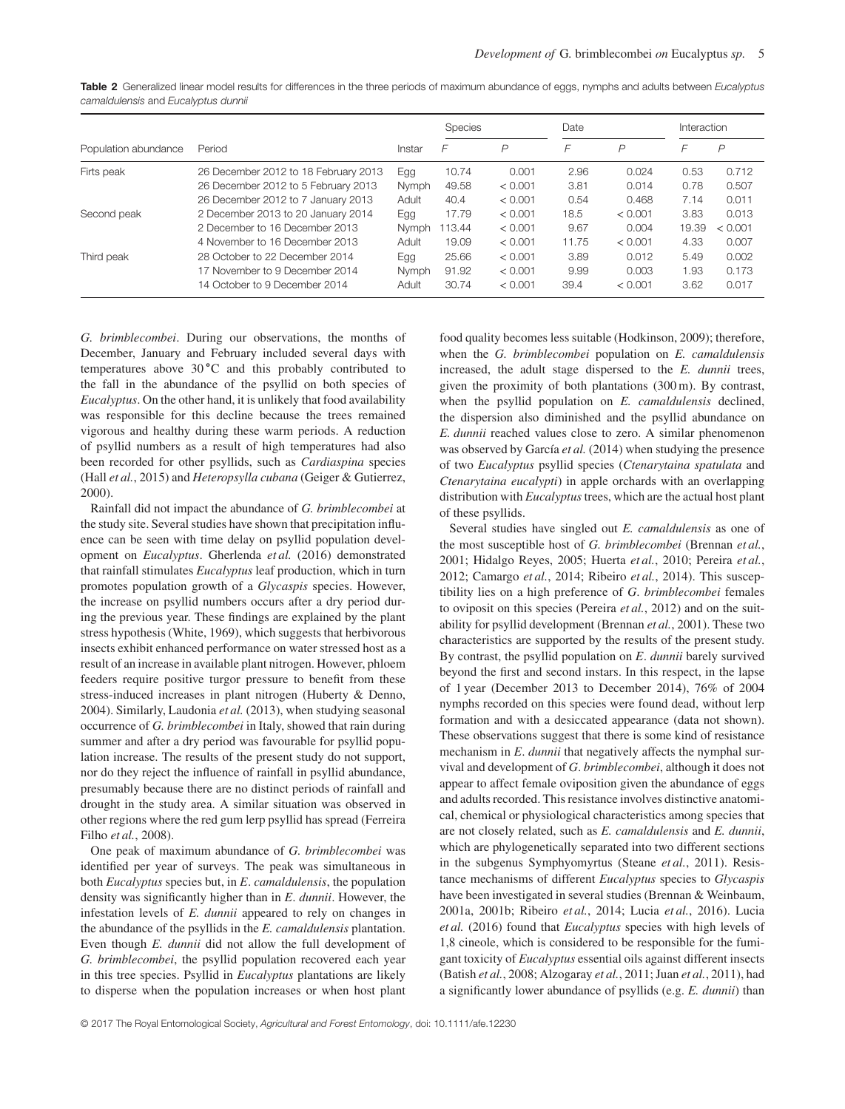Table 2 Generalized linear model results for differences in the three periods of maximum abundance of eggs, nymphs and adults between Eucalyptus camaldulensis and Eucalyptus dunnii

|                      |                                      |        | Species |                | Date  |         |       | Interaction    |  |
|----------------------|--------------------------------------|--------|---------|----------------|-------|---------|-------|----------------|--|
| Population abundance | Period                               | Instar | F       | $\overline{P}$ | F     | P       | F     | $\overline{P}$ |  |
| Firts peak           | 26 December 2012 to 18 February 2013 | Egg    | 10.74   | 0.001          | 2.96  | 0.024   | 0.53  | 0.712          |  |
|                      | 26 December 2012 to 5 February 2013  | Nymph  | 49.58   | < 0.001        | 3.81  | 0.014   | 0.78  | 0.507          |  |
|                      | 26 December 2012 to 7 January 2013   | Adult  | 40.4    | < 0.001        | 0.54  | 0.468   | 7.14  | 0.011          |  |
| Second peak          | 2 December 2013 to 20 January 2014   | Egg    | 17.79   | < 0.001        | 18.5  | < 0.001 | 3.83  | 0.013          |  |
|                      | 2 December to 16 December 2013       | Nymph  | 113.44  | < 0.001        | 9.67  | 0.004   | 19.39 | < 0.001        |  |
|                      | 4 November to 16 December 2013       | Adult  | 19.09   | < 0.001        | 11.75 | < 0.001 | 4.33  | 0.007          |  |
| Third peak           | 28 October to 22 December 2014       | Egg    | 25.66   | < 0.001        | 3.89  | 0.012   | 5.49  | 0.002          |  |
|                      | 17 November to 9 December 2014       | Nymph  | 91.92   | < 0.001        | 9.99  | 0.003   | 1.93  | 0.173          |  |
|                      | 14 October to 9 December 2014        | Adult  | 30.74   | < 0.001        | 39.4  | < 0.001 | 3.62  | 0.017          |  |

*G. brimblecombei*. During our observations, the months of December, January and February included several days with temperatures above 30 ∘C and this probably contributed to the fall in the abundance of the psyllid on both species of *Eucalyptus*. On the other hand, it is unlikely that food availability was responsible for this decline because the trees remained vigorous and healthy during these warm periods. A reduction of psyllid numbers as a result of high temperatures had also been recorded for other psyllids, such as *Cardiaspina* species (Hall *et al.*, 2015) and *Heteropsylla cubana* (Geiger & Gutierrez, 2000).

Rainfall did not impact the abundance of *G. brimblecombei* at the study site. Several studies have shown that precipitation influence can be seen with time delay on psyllid population development on *Eucalyptus*. Gherlenda *et al.* (2016) demonstrated that rainfall stimulates *Eucalyptus* leaf production, which in turn promotes population growth of a *Glycaspis* species. However, the increase on psyllid numbers occurs after a dry period during the previous year. These findings are explained by the plant stress hypothesis (White, 1969), which suggests that herbivorous insects exhibit enhanced performance on water stressed host as a result of an increase in available plant nitrogen. However, phloem feeders require positive turgor pressure to benefit from these stress-induced increases in plant nitrogen (Huberty & Denno, 2004). Similarly, Laudonia *et al.* (2013), when studying seasonal occurrence of *G. brimblecombei* in Italy, showed that rain during summer and after a dry period was favourable for psyllid population increase. The results of the present study do not support, nor do they reject the influence of rainfall in psyllid abundance, presumably because there are no distinct periods of rainfall and drought in the study area. A similar situation was observed in other regions where the red gum lerp psyllid has spread (Ferreira Filho *et al.*, 2008).

One peak of maximum abundance of *G. brimblecombei* was identified per year of surveys. The peak was simultaneous in both *Eucalyptus* species but, in *E*. *camaldulensis*, the population density was significantly higher than in *E*. *dunnii*. However, the infestation levels of *E. dunnii* appeared to rely on changes in the abundance of the psyllids in the *E. camaldulensis* plantation. Even though *E. dunnii* did not allow the full development of *G. brimblecombei*, the psyllid population recovered each year in this tree species. Psyllid in *Eucalyptus* plantations are likely to disperse when the population increases or when host plant food quality becomes less suitable (Hodkinson, 2009); therefore, when the *G. brimblecombei* population on *E. camaldulensis* increased, the adult stage dispersed to the *E. dunnii* trees, given the proximity of both plantations (300 m). By contrast, when the psyllid population on *E. camaldulensis* declined, the dispersion also diminished and the psyllid abundance on *E. dunnii* reached values close to zero. A similar phenomenon was observed by García *et al.* (2014) when studying the presence of two *Eucalyptus* psyllid species (*Ctenarytaina spatulata* and *Ctenarytaina eucalypti*) in apple orchards with an overlapping distribution with *Eucalyptus*trees, which are the actual host plant of these psyllids.

Several studies have singled out *E. camaldulensis* as one of the most susceptible host of *G. brimblecombei* (Brennan *et al.*, 2001; Hidalgo Reyes, 2005; Huerta *et al.*, 2010; Pereira *et al.*, 2012; Camargo *et al.*, 2014; Ribeiro *et al.*, 2014). This susceptibility lies on a high preference of *G*. *brimblecombei* females to oviposit on this species (Pereira *et al.*, 2012) and on the suitability for psyllid development (Brennan *et al.*, 2001). These two characteristics are supported by the results of the present study. By contrast, the psyllid population on *E*. *dunnii* barely survived beyond the first and second instars. In this respect, in the lapse of 1 year (December 2013 to December 2014), 76% of 2004 nymphs recorded on this species were found dead, without lerp formation and with a desiccated appearance (data not shown). These observations suggest that there is some kind of resistance mechanism in *E*. *dunnii* that negatively affects the nymphal survival and development of *G*. *brimblecombei*, although it does not appear to affect female oviposition given the abundance of eggs and adults recorded. This resistance involves distinctive anatomical, chemical or physiological characteristics among species that are not closely related, such as *E. camaldulensis* and *E. dunnii*, which are phylogenetically separated into two different sections in the subgenus Symphyomyrtus (Steane *et al.*, 2011). Resistance mechanisms of different *Eucalyptus* species to *Glycaspis* have been investigated in several studies (Brennan & Weinbaum, 2001a, 2001b; Ribeiro *et al.*, 2014; Lucia *et al.*, 2016). Lucia *et al.* (2016) found that *Eucalyptus* species with high levels of 1,8 cineole, which is considered to be responsible for the fumigant toxicity of *Eucalyptus* essential oils against different insects (Batish *et al.*, 2008; Alzogaray *et al.*, 2011; Juan *et al.*, 2011), had a significantly lower abundance of psyllids (e.g. *E. dunnii*) than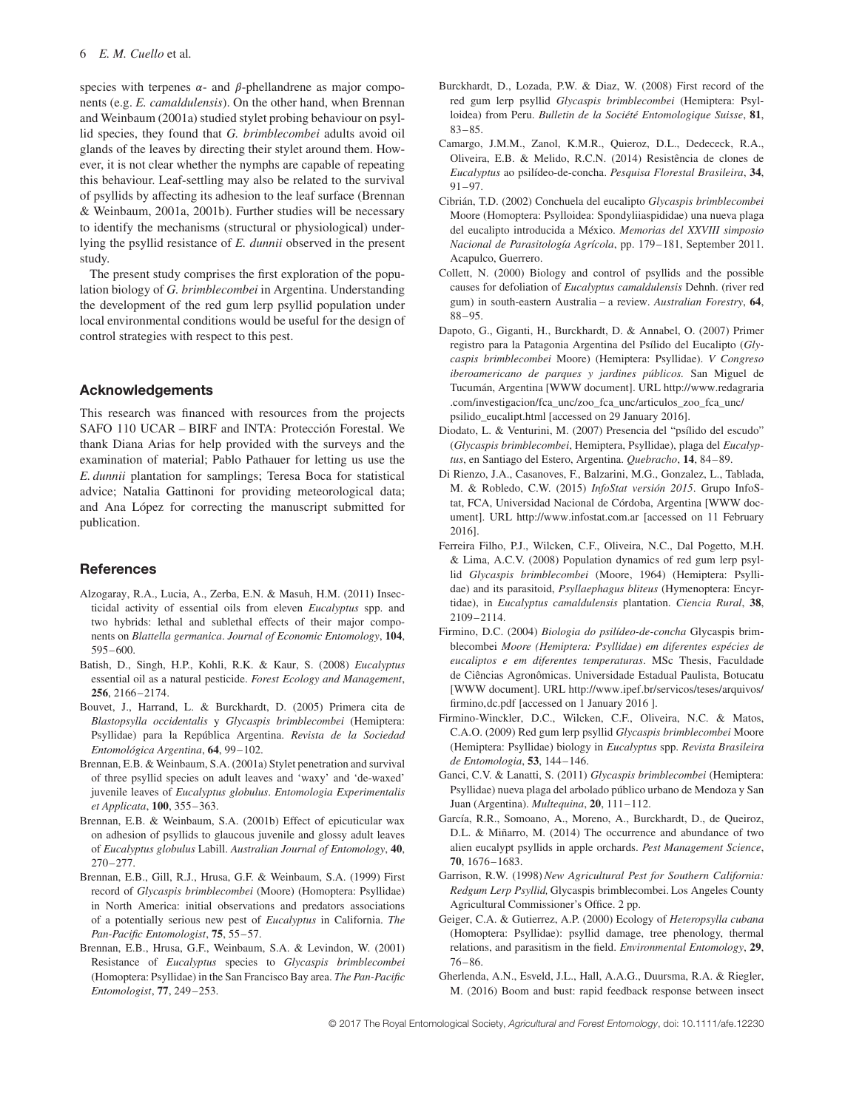species with terpenes  $\alpha$ - and  $\beta$ -phellandrene as major components (e.g. *E. camaldulensis*). On the other hand, when Brennan and Weinbaum (2001a) studied stylet probing behaviour on psyllid species, they found that *G. brimblecombei* adults avoid oil glands of the leaves by directing their stylet around them. However, it is not clear whether the nymphs are capable of repeating this behaviour. Leaf-settling may also be related to the survival of psyllids by affecting its adhesion to the leaf surface (Brennan & Weinbaum, 2001a, 2001b). Further studies will be necessary to identify the mechanisms (structural or physiological) underlying the psyllid resistance of *E. dunnii* observed in the present study.

The present study comprises the first exploration of the population biology of *G. brimblecombei* in Argentina. Understanding the development of the red gum lerp psyllid population under local environmental conditions would be useful for the design of control strategies with respect to this pest.

### **Acknowledgements**

This research was financed with resources from the projects SAFO 110 UCAR – BIRF and INTA: Protección Forestal. We thank Diana Arias for help provided with the surveys and the examination of material; Pablo Pathauer for letting us use the *E. dunnii* plantation for samplings; Teresa Boca for statistical advice; Natalia Gattinoni for providing meteorological data; and Ana López for correcting the manuscript submitted for publication.

#### **References**

- Alzogaray, R.A., Lucia, A., Zerba, E.N. & Masuh, H.M. (2011) Insecticidal activity of essential oils from eleven *Eucalyptus* spp. and two hybrids: lethal and sublethal effects of their major components on *Blattella germanica*. *Journal of Economic Entomology*, **104**, 595–600.
- Batish, D., Singh, H.P., Kohli, R.K. & Kaur, S. (2008) *Eucalyptus* essential oil as a natural pesticide. *Forest Ecology and Management*, **256**, 2166–2174.
- Bouvet, J., Harrand, L. & Burckhardt, D. (2005) Primera cita de *Blastopsylla occidentalis* y *Glycaspis brimblecombei* (Hemiptera: Psyllidae) para la República Argentina. *Revista de la Sociedad Entomológica Argentina*, **64**, 99–102.
- Brennan, E.B. & Weinbaum, S.A. (2001a) Stylet penetration and survival of three psyllid species on adult leaves and 'waxy' and 'de-waxed' juvenile leaves of *Eucalyptus globulus*. *Entomologia Experimentalis et Applicata*, **100**, 355–363.
- Brennan, E.B. & Weinbaum, S.A. (2001b) Effect of epicuticular wax on adhesion of psyllids to glaucous juvenile and glossy adult leaves of *Eucalyptus globulus* Labill. *Australian Journal of Entomology*, **40**, 270–277.
- Brennan, E.B., Gill, R.J., Hrusa, G.F. & Weinbaum, S.A. (1999) First record of *Glycaspis brimblecombei* (Moore) (Homoptera: Psyllidae) in North America: initial observations and predators associations of a potentially serious new pest of *Eucalyptus* in California. *The Pan-Pacific Entomologist*, **75**, 55–57.
- Brennan, E.B., Hrusa, G.F., Weinbaum, S.A. & Levindon, W. (2001) Resistance of *Eucalyptus* species to *Glycaspis brimblecombei* (Homoptera: Psyllidae) in the San Francisco Bay area. *The Pan-Pacific Entomologist*, **77**, 249–253.
- Burckhardt, D., Lozada, P.W. & Diaz, W. (2008) First record of the red gum lerp psyllid *Glycaspis brimblecombei* (Hemiptera: Psylloidea) from Peru. *Bulletin de la Société Entomologique Suisse*, **81**, 83–85.
- Camargo, J.M.M., Zanol, K.M.R., Quieroz, D.L., Dedececk, R.A., Oliveira, E.B. & Melido, R.C.N. (2014) Resistência de clones de *Eucalyptus* ao psilídeo-de-concha. *Pesquisa Florestal Brasileira*, **34**, 91–97.
- Cibrián, T.D. (2002) Conchuela del eucalipto *Glycaspis brimblecombei* Moore (Homoptera: Psylloidea: Spondyliiaspididae) una nueva plaga del eucalipto introducida a México. *Memorias del XXVIII simposio Nacional de Parasitología Agrícola*, pp. 179–181, September 2011. Acapulco, Guerrero.
- Collett, N. (2000) Biology and control of psyllids and the possible causes for defoliation of *Eucalyptus camaldulensis* Dehnh. (river red gum) in south-eastern Australia – a review. *Australian Forestry*, **64**, 88–95.
- Dapoto, G., Giganti, H., Burckhardt, D. & Annabel, O. (2007) Primer registro para la Patagonia Argentina del Psílido del Eucalipto (*Glycaspis brimblecombei* Moore) (Hemiptera: Psyllidae). *V Congreso iberoamericano de parques y jardines públicos.* San Miguel de Tucumán, Argentina [WWW document]. URL [http://www.redagraria](http://www.redagraria.com/investigacion/fca_unc/zoo_fca_unc/articulos_zoo_fca_unc/psilido_eucalipt.html) [.com/investigacion/fca\\_unc/zoo\\_fca\\_unc/articulos\\_zoo\\_fca\\_unc/](http://www.redagraria.com/investigacion/fca_unc/zoo_fca_unc/articulos_zoo_fca_unc/psilido_eucalipt.html) [psilido\\_eucalipt.html](http://www.redagraria.com/investigacion/fca_unc/zoo_fca_unc/articulos_zoo_fca_unc/psilido_eucalipt.html) [accessed on 29 January 2016].
- Diodato, L. & Venturini, M. (2007) Presencia del "psílido del escudo" (*Glycaspis brimblecombei*, Hemiptera, Psyllidae), plaga del *Eucalyptus*, en Santiago del Estero, Argentina. *Quebracho*, **14**, 84–89.
- Di Rienzo, J.A., Casanoves, F., Balzarini, M.G., Gonzalez, L., Tablada, M. & Robledo, C.W. (2015) *InfoStat versión 2015*. Grupo InfoStat, FCA, Universidad Nacional de Córdoba, Argentina [WWW document]. URL<http://www.infostat.com.ar> [accessed on 11 February 2016].
- Ferreira Filho, P.J., Wilcken, C.F., Oliveira, N.C., Dal Pogetto, M.H. & Lima, A.C.V. (2008) Population dynamics of red gum lerp psyllid *Glycaspis brimblecombei* (Moore, 1964) (Hemiptera: Psyllidae) and its parasitoid, *Psyllaephagus bliteus* (Hymenoptera: Encyrtidae), in *Eucalyptus camaldulensis* plantation. *Ciencia Rural*, **38**, 2109–2114.
- Firmino, D.C. (2004) *Biologia do psilídeo-de-concha* Glycaspis brimblecombei *Moore (Hemiptera: Psyllidae) em diferentes espécies de eucaliptos e em diferentes temperaturas*. MSc Thesis, Faculdade de Ciências Agronômicas. Universidade Estadual Paulista, Botucatu [WWW document]. URL [http://www.ipef.br/servicos/teses/arquivos/](http://www.ipef.br/servicos/teses/arquivos/firmino,dc.pdf) [firmino,dc.pdf](http://www.ipef.br/servicos/teses/arquivos/firmino,dc.pdf) [accessed on 1 January 2016 ].
- Firmino-Winckler, D.C., Wilcken, C.F., Oliveira, N.C. & Matos, C.A.O. (2009) Red gum lerp psyllid *Glycaspis brimblecombei* Moore (Hemiptera: Psyllidae) biology in *Eucalyptus* spp. *Revista Brasileira de Entomologia*, **53**, 144–146.
- Ganci, C.V. & Lanatti, S. (2011) *Glycaspis brimblecombei* (Hemiptera: Psyllidae) nueva plaga del arbolado público urbano de Mendoza y San Juan (Argentina). *Multequina*, **20**, 111–112.
- García, R.R., Somoano, A., Moreno, A., Burckhardt, D., de Queiroz, D.L. & Miñarro, M. (2014) The occurrence and abundance of two alien eucalypt psyllids in apple orchards. *Pest Management Science*, **70**, 1676–1683.
- Garrison, R.W. (1998)*New Agricultural Pest for Southern California: Redgum Lerp Psyllid,* Glycaspis brimblecombei. Los Angeles County Agricultural Commissioner's Office. 2 pp.
- Geiger, C.A. & Gutierrez, A.P. (2000) Ecology of *Heteropsylla cubana* (Homoptera: Psyllidae): psyllid damage, tree phenology, thermal relations, and parasitism in the field. *Environmental Entomology*, **29**, 76–86.
- Gherlenda, A.N., Esveld, J.L., Hall, A.A.G., Duursma, R.A. & Riegler, M. (2016) Boom and bust: rapid feedback response between insect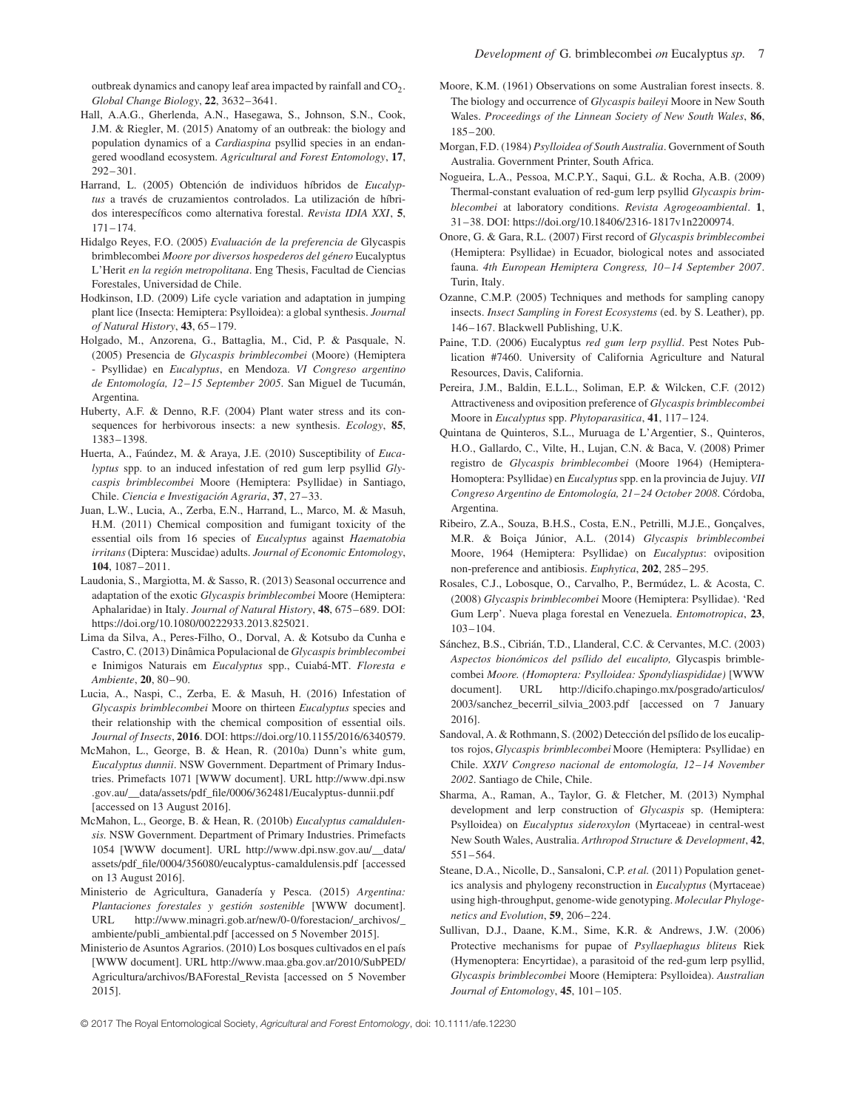outbreak dynamics and canopy leaf area impacted by rainfall and  $CO<sub>2</sub>$ . *Global Change Biology*, **22**, 3632–3641.

- Hall, A.A.G., Gherlenda, A.N., Hasegawa, S., Johnson, S.N., Cook, J.M. & Riegler, M. (2015) Anatomy of an outbreak: the biology and population dynamics of a *Cardiaspina* psyllid species in an endangered woodland ecosystem. *Agricultural and Forest Entomology*, **17**, 292–301.
- Harrand, L. (2005) Obtención de individuos híbridos de *Eucalyptus* a través de cruzamientos controlados. La utilización de híbridos interespecíficos como alternativa forestal. *Revista IDIA XXI*, **5**, 171–174.
- Hidalgo Reyes, F.O. (2005) *Evaluación de la preferencia de* Glycaspis brimblecombei *Moore por diversos hospederos del género* Eucalyptus L'Herit *en la región metropolitana*. Eng Thesis, Facultad de Ciencias Forestales, Universidad de Chile.
- Hodkinson, I.D. (2009) Life cycle variation and adaptation in jumping plant lice (Insecta: Hemiptera: Psylloidea): a global synthesis. *Journal of Natural History*, **43**, 65–179.
- Holgado, M., Anzorena, G., Battaglia, M., Cid, P. & Pasquale, N. (2005) Presencia de *Glycaspis brimblecombei* (Moore) (Hemiptera - Psyllidae) en *Eucalyptus*, en Mendoza. *VI Congreso argentino de Entomología, 12–15 September 2005*. San Miguel de Tucumán, Argentina*.*
- Huberty, A.F. & Denno, R.F. (2004) Plant water stress and its consequences for herbivorous insects: a new synthesis. *Ecology*, **85**, 1383–1398.
- Huerta, A., Faúndez, M. & Araya, J.E. (2010) Susceptibility of *Eucalyptus* spp. to an induced infestation of red gum lerp psyllid *Glycaspis brimblecombei* Moore (Hemiptera: Psyllidae) in Santiago, Chile. *Ciencia e Investigación Agraria*, **37**, 27–33.
- Juan, L.W., Lucia, A., Zerba, E.N., Harrand, L., Marco, M. & Masuh, H.M. (2011) Chemical composition and fumigant toxicity of the essential oils from 16 species of *Eucalyptus* against *Haematobia irritans*(Diptera: Muscidae) adults. *Journal of Economic Entomology*, **104**, 1087–2011.
- Laudonia, S., Margiotta, M. & Sasso, R. (2013) Seasonal occurrence and adaptation of the exotic *Glycaspis brimblecombei* Moore (Hemiptera: Aphalaridae) in Italy. *Journal of Natural History*, **48**, 675–689. DOI: [https://doi.org/10.1080/00222933.2013.825021.](https://doi.org/10.1080/00222933.2013.825021)
- Lima da Silva, A., Peres-Filho, O., Dorval, A. & Kotsubo da Cunha e Castro, C. (2013) Dinâmica Populacional de *Glycaspis brimblecombei* e Inimigos Naturais em *Eucalyptus* spp., Cuiabá-MT. *Floresta e Ambiente*, **20**, 80–90.
- Lucia, A., Naspi, C., Zerba, E. & Masuh, H. (2016) Infestation of *Glycaspis brimblecombei* Moore on thirteen *Eucalyptus* species and their relationship with the chemical composition of essential oils. *Journal of Insects*, **2016**. DOI: [https://doi.org/10.1155/2016/6340579.](https://doi.org/10.1155/2016/6340579)
- McMahon, L., George, B. & Hean, R. (2010a) Dunn's white gum, *Eucalyptus dunnii*. NSW Government. Department of Primary Industries. Primefacts 1071 [WWW document]. URL [http://www.dpi.nsw](http://www.dpi.nsw.gov.au/__data/assets/pdf_file/0006/362481/Eucalyptus-dunnii.pdf) [.gov.au/\\_\\_data/assets/pdf\\_file/0006/362481/Eucalyptus-dunnii.pdf](http://www.dpi.nsw.gov.au/__data/assets/pdf_file/0006/362481/Eucalyptus-dunnii.pdf) [accessed on 13 August 2016].
- McMahon, L., George, B. & Hean, R. (2010b) *Eucalyptus camaldulensis.* NSW Government. Department of Primary Industries. Primefacts 1054 [WWW document]. URL [http://www.dpi.nsw.gov.au/\\_\\_data/](http://www.dpi.nsw.gov.au/__data/assets/pdf_file/0004/356080/eucalyptus-camaldulensis.pdf) [assets/pdf\\_file/0004/356080/eucalyptus-camaldulensis.pdf](http://www.dpi.nsw.gov.au/__data/assets/pdf_file/0004/356080/eucalyptus-camaldulensis.pdf) [accessed on 13 August 2016].
- Ministerio de Agricultura, Ganadería y Pesca. (2015) *Argentina: Plantaciones forestales y gestión sostenible* [WWW document]. URL [http://www.minagri.gob.ar/new/0-0/forestacion/\\_archivos/\\_](http://www.minagri.gob.ar/new/0-0/forestacion/_archivos/_ambiente/publi_ambiental.pdf) [ambiente/publi\\_ambiental.pdf](http://www.minagri.gob.ar/new/0-0/forestacion/_archivos/_ambiente/publi_ambiental.pdf) [accessed on 5 November 2015].
- Ministerio de Asuntos Agrarios. (2010) Los bosques cultivados en el país [WWW document]. URL [http://www.maa.gba.gov.ar/2010/SubPED/](http://www.maa.gba.gov.ar/2010/SubPED/Agricultura/archivos/BAForestal_Revista) [Agricultura/archivos/BAForestal\\_Revista](http://www.maa.gba.gov.ar/2010/SubPED/Agricultura/archivos/BAForestal_Revista) [accessed on 5 November 2015].
- Moore, K.M. (1961) Observations on some Australian forest insects. 8. The biology and occurrence of *Glycaspis baileyi* Moore in New South Wales. *Proceedings of the Linnean Society of New South Wales*, **86**, 185–200.
- Morgan, F.D. (1984) *Psylloidea of South Australia*. Government of South Australia. Government Printer, South Africa.
- Nogueira, L.A., Pessoa, M.C.P.Y., Saqui, G.L. & Rocha, A.B. (2009) Thermal-constant evaluation of red-gum lerp psyllid *Glycaspis brimblecombei* at laboratory conditions. *Revista Agrogeoambiental*. **1**, 31–38. DOI: [https://doi.org/10.18406/2316-1817v1n2200974.](https://doi.org/10.18406/2316-1817v1n2200974)
- Onore, G. & Gara, R.L. (2007) First record of *Glycaspis brimblecombei* (Hemiptera: Psyllidae) in Ecuador, biological notes and associated fauna. *4th European Hemiptera Congress, 10–14 September 2007*. Turin, Italy.
- Ozanne, C.M.P. (2005) Techniques and methods for sampling canopy insects. *Insect Sampling in Forest Ecosystems* (ed. by S. Leather), pp. 146–167. Blackwell Publishing, U.K.
- Paine, T.D. (2006) Eucalyptus *red gum lerp psyllid*. Pest Notes Publication #7460. University of California Agriculture and Natural Resources, Davis, California.
- Pereira, J.M., Baldin, E.L.L., Soliman, E.P. & Wilcken, C.F. (2012) Attractiveness and oviposition preference of *Glycaspis brimblecombei* Moore in *Eucalyptus* spp. *Phytoparasitica*, **41**, 117–124.
- Quintana de Quinteros, S.L., Muruaga de L'Argentier, S., Quinteros, H.O., Gallardo, C., Vilte, H., Lujan, C.N. & Baca, V. (2008) Primer registro de *Glycaspis brimblecombei* (Moore 1964) (Hemiptera-Homoptera: Psyllidae) en *Eucalyptus* spp. en la provincia de Jujuy. *VII Congreso Argentino de Entomología, 21–24 October 2008*. Córdoba, Argentina.
- Ribeiro, Z.A., Souza, B.H.S., Costa, E.N., Petrilli, M.J.E., Gonçalves, M.R. & Boiça Júnior, A.L. (2014) *Glycaspis brimblecombei* Moore, 1964 (Hemiptera: Psyllidae) on *Eucalyptus*: oviposition non-preference and antibiosis. *Euphytica*, **202**, 285–295.
- Rosales, C.J., Lobosque, O., Carvalho, P., Bermúdez, L. & Acosta, C. (2008) *Glycaspis brimblecombei* Moore (Hemiptera: Psyllidae). 'Red Gum Lerp'. Nueva plaga forestal en Venezuela. *Entomotropica*, **23**, 103–104.
- Sánchez, B.S., Cibrián, T.D., Llanderal, C.C. & Cervantes, M.C. (2003) *Aspectos bionómicos del psílido del eucalipto,* Glycaspis brimblecombei *Moore. (Homoptera: Psylloidea: Spondyliaspididae)* [WWW document]. URL [http://dicifo.chapingo.mx/posgrado/articulos/](http://dicifo.chapingo.mx/posgrado/articulos/2003/sanchez_becerril_silvia_2003.pdf) [2003/sanchez\\_becerril\\_silvia\\_2003.pdf](http://dicifo.chapingo.mx/posgrado/articulos/2003/sanchez_becerril_silvia_2003.pdf) [accessed on 7 January 2016].
- Sandoval, A. & Rothmann, S. (2002) Detección del psílido de los eucaliptos rojos, *Glycaspis brimblecombei* Moore (Hemiptera: Psyllidae) en Chile. *XXIV Congreso nacional de entomología, 12–14 November 2002*. Santiago de Chile, Chile.
- Sharma, A., Raman, A., Taylor, G. & Fletcher, M. (2013) Nymphal development and lerp construction of *Glycaspis* sp. (Hemiptera: Psylloidea) on *Eucalyptus sideroxylon* (Myrtaceae) in central-west New South Wales, Australia. *Arthropod Structure & Development*, **42**, 551–564.
- Steane, D.A., Nicolle, D., Sansaloni, C.P. *et al.* (2011) Population genetics analysis and phylogeny reconstruction in *Eucalyptus* (Myrtaceae) using high-throughput, genome-wide genotyping. *Molecular Phylogenetics and Evolution*, **59**, 206–224.
- Sullivan, D.J., Daane, K.M., Sime, K.R. & Andrews, J.W. (2006) Protective mechanisms for pupae of *Psyllaephagus bliteus* Riek (Hymenoptera: Encyrtidae), a parasitoid of the red-gum lerp psyllid, *Glycaspis brimblecombei* Moore (Hemiptera: Psylloidea). *Australian Journal of Entomology*, **45**, 101–105.

© 2017 The Royal Entomological Society, Agricultural and Forest Entomology, doi: 10.1111/afe.12230